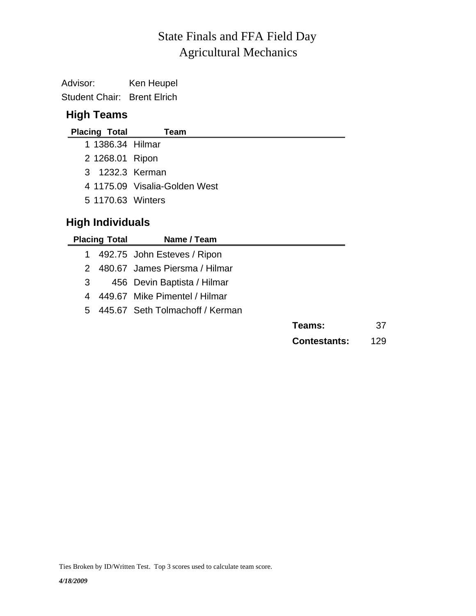# Agricultural Mechanics State Finals and FFA Field Day

Advisor: Ken Heupel Student Chair: Brent Elrich

### **High Teams**

| <b>Placing Total</b>    | Team                          |  |  |  |  |  |  |  |
|-------------------------|-------------------------------|--|--|--|--|--|--|--|
| 1 1386.34 Hilmar        |                               |  |  |  |  |  |  |  |
| 2 1268.01 Ripon         |                               |  |  |  |  |  |  |  |
| 3 1232.3 Kerman         |                               |  |  |  |  |  |  |  |
|                         | 4 1175.09 Visalia-Golden West |  |  |  |  |  |  |  |
| 5 1170.63 Winters       |                               |  |  |  |  |  |  |  |
| <b>High Individuals</b> |                               |  |  |  |  |  |  |  |
| <b>Placing Total</b>    | Name / Team                   |  |  |  |  |  |  |  |
| 1                       | 492.75 John Esteves / Ripon   |  |  |  |  |  |  |  |

|  |  | 2 480.67 James Piersma / Hilmar |
|--|--|---------------------------------|
|--|--|---------------------------------|

- 3 456 Devin Baptista / Hilmar
- 4 449.67 Mike Pimentel / Hilmar
- 5 445.67 Seth Tolmachoff / Kerman

| 37<br><b>Teams:</b> |  |
|---------------------|--|
|---------------------|--|

**Contestants:** 129

Ties Broken by ID/Written Test. Top 3 scores used to calculate team score.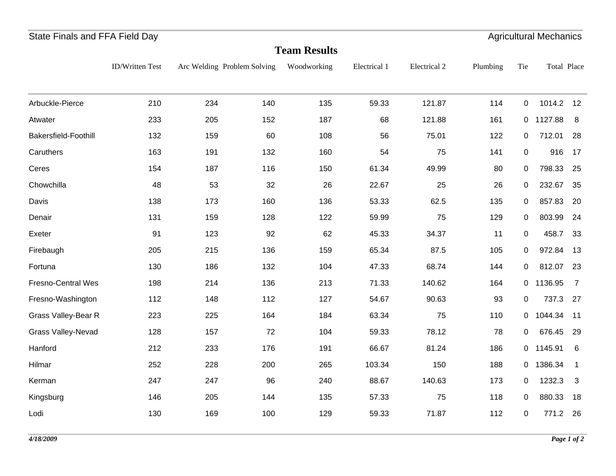| <b>Team Results</b>        |                 |     |                             |             |              |              |          |             |                    |                |  |
|----------------------------|-----------------|-----|-----------------------------|-------------|--------------|--------------|----------|-------------|--------------------|----------------|--|
|                            | ID/Written Test |     | Arc Welding Problem Solving | Woodworking | Electrical 1 | Electrical 2 | Plumbing | Tie         | <b>Total Place</b> |                |  |
| Arbuckle-Pierce            | 210             | 234 | 140                         | 135         | 59.33        | 121.87       | 114      | $\mathbf 0$ | 1014.2             | 12             |  |
| Atwater                    | 233             | 205 | 152                         | 187         | 68           | 121.88       | 161      | $\mathbf 0$ | 1127.88            | 8              |  |
| Bakersfield-Foothill       | 132             | 159 | 60                          | 108         | 56           | 75.01        | 122      | 0           | 712.01             | 28             |  |
| Caruthers                  | 163             | 191 | 132                         | 160         | 54           | 75           | 141      | $\mathbf 0$ | 916                | 17             |  |
| Ceres                      | 154             | 187 | 116                         | 150         | 61.34        | 49.99        | 80       | $\pmb{0}$   | 798.33             | 25             |  |
| Chowchilla                 | 48              | 53  | 32                          | 26          | 22.67        | 25           | 26       | $\pmb{0}$   | 232.67             | 35             |  |
| Davis                      | 138             | 173 | 160                         | 136         | 53.33        | 62.5         | 135      | 0           | 857.83             | 20             |  |
| Denair                     | 131             | 159 | 128                         | 122         | 59.99        | 75           | 129      | $\mathbf 0$ | 803.99             | 24             |  |
| Exeter                     | 91              | 123 | 92                          | 62          | 45.33        | 34.37        | 11       | $\mathbf 0$ | 458.7              | 33             |  |
| Firebaugh                  | 205             | 215 | 136                         | 159         | 65.34        | 87.5         | 105      | 0           | 972.84             | 13             |  |
| Fortuna                    | 130             | 186 | 132                         | 104         | 47.33        | 68.74        | 144      | $\mathbf 0$ | 812.07             | 23             |  |
| <b>Fresno-Central Wes</b>  | 198             | 214 | 136                         | 213         | 71.33        | 140.62       | 164      |             | 0 1136.95          | $\overline{7}$ |  |
| Fresno-Washington          | 112             | 148 | 112                         | 127         | 54.67        | 90.63        | 93       | $\mathbf 0$ | 737.3              | 27             |  |
| <b>Grass Valley-Bear R</b> | 223             | 225 | 164                         | 184         | 63.34        | 75           | 110      | 0           | 1044.34            | 11             |  |
| <b>Grass Valley-Nevad</b>  | 128             | 157 | 72                          | 104         | 59.33        | 78.12        | 78       | $\mathbf 0$ | 676.45             | 29             |  |
| Hanford                    | 212             | 233 | 176                         | 191         | 66.67        | 81.24        | 186      | 0           | 1145.91            | 6              |  |
| Hilmar                     | 252             | 228 | 200                         | 265         | 103.34       | 150          | 188      |             | 0 1386.34          | $\mathbf{1}$   |  |
| Kerman                     | 247             | 247 | 96                          | 240         | 88.67        | 140.63       | 173      | $\mathbf 0$ | 1232.3             | 3              |  |
| Kingsburg                  | 146             | 205 | 144                         | 135         | 57.33        | 75           | 118      | 0           | 880.33             | 18             |  |
| Lodi                       | 130             | 169 | 100                         | 129         | 59.33        | 71.87        | 112      | $\pmb{0}$   | 771.2 26           |                |  |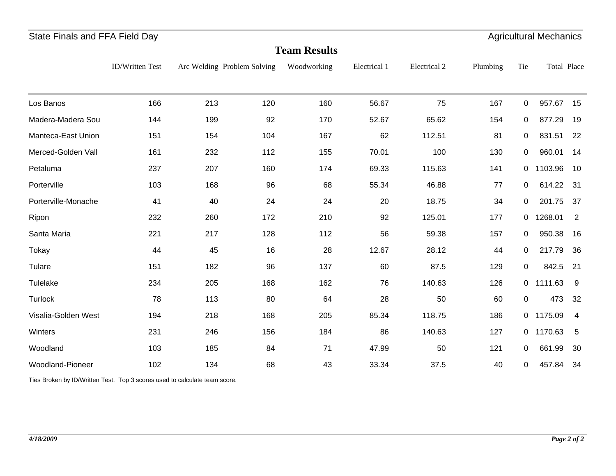|                     | <b>Team Results</b>    |     |                             |             |              |              |          |                |             |                |  |  |  |
|---------------------|------------------------|-----|-----------------------------|-------------|--------------|--------------|----------|----------------|-------------|----------------|--|--|--|
|                     | <b>ID/Written Test</b> |     | Arc Welding Problem Solving | Woodworking | Electrical 1 | Electrical 2 | Plumbing | Tie            | Total Place |                |  |  |  |
| Los Banos           | 166                    | 213 | 120                         | 160         | 56.67        | 75           | 167      | $\mathbf 0$    | 957.67      | 15             |  |  |  |
| Madera-Madera Sou   | 144                    | 199 | 92                          | 170         | 52.67        | 65.62        | 154      | $\mathbf{0}$   | 877.29      | 19             |  |  |  |
| Manteca-East Union  | 151                    | 154 | 104                         | 167         | 62           | 112.51       | 81       | $\mathbf 0$    | 831.51      | 22             |  |  |  |
| Merced-Golden Vall  | 161                    | 232 | 112                         | 155         | 70.01        | 100          | 130      | $\Omega$       | 960.01      | 14             |  |  |  |
| Petaluma            | 237                    | 207 | 160                         | 174         | 69.33        | 115.63       | 141      | $\mathbf{0}$   | 1103.96     | 10             |  |  |  |
| Porterville         | 103                    | 168 | 96                          | 68          | 55.34        | 46.88        | 77       | 0              | 614.22      | - 31           |  |  |  |
| Porterville-Monache | 41                     | 40  | 24                          | 24          | 20           | 18.75        | 34       | $\overline{0}$ | 201.75      | 37             |  |  |  |
| Ripon               | 232                    | 260 | 172                         | 210         | 92           | 125.01       | 177      | $\overline{0}$ | 1268.01     | $\overline{2}$ |  |  |  |
| Santa Maria         | 221                    | 217 | 128                         | 112         | 56           | 59.38        | 157      | $\mathbf{0}$   | 950.38      | 16             |  |  |  |
| Tokay               | 44                     | 45  | 16                          | 28          | 12.67        | 28.12        | 44       | 0              | 217.79      | 36             |  |  |  |
| Tulare              | 151                    | 182 | 96                          | 137         | 60           | 87.5         | 129      | 0              | 842.5       | 21             |  |  |  |
| Tulelake            | 234                    | 205 | 168                         | 162         | 76           | 140.63       | 126      |                | 0 1111.63   | - 9            |  |  |  |
| Turlock             | 78                     | 113 | 80                          | 64          | 28           | 50           | 60       | $\mathbf 0$    | 473         | 32             |  |  |  |
| Visalia-Golden West | 194                    | 218 | 168                         | 205         | 85.34        | 118.75       | 186      |                | 0 1175.09   | -4             |  |  |  |
| Winters             | 231                    | 246 | 156                         | 184         | 86           | 140.63       | 127      |                | 0 1170.63   | -5             |  |  |  |
| Woodland            | 103                    | 185 | 84                          | 71          | 47.99        | 50           | 121      | 0              | 661.99      | 30             |  |  |  |
| Woodland-Pioneer    | 102                    | 134 | 68                          | 43          | 33.34        | 37.5         | 40       | $\mathbf 0$    | 457.84      | 34             |  |  |  |

Ties Broken by ID/Written Test. Top 3 scores used to calculate team score.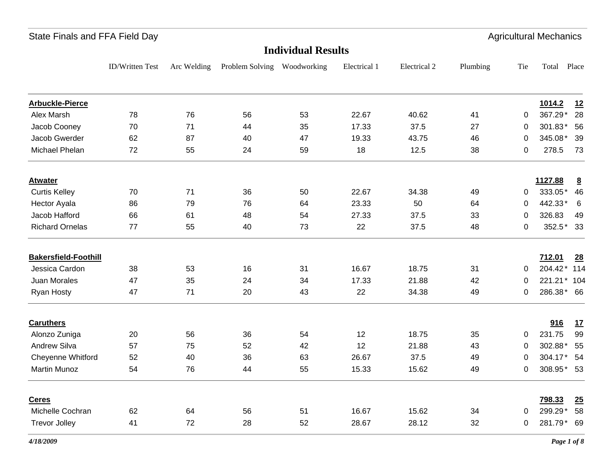ID/Written Test Arc Welding Problem Solving Woodworking Electrical 1 Electrical 2 Plumbing Tie Total Place **Individual Results**State Finals and FFA Field Day **Agricultural Mechanics** State Finals and FFA Field Day **Arbuckle-Pierce 1014.2 12** Alex Marsh 78 76 56 53 22.67 40.62 41 0 367.29\* 28 41 0  $367.29*28$ Jacob Cooney 70 71 44 35 17.33 37.5 27 0 301.83 \* 56 Jacob Gwerder 62 87 40 47 19.33 43.75 46 0 345.08\* 39 46 0  $345.08*$  39 Michael Phelan 72 55 24 59 18 12.5 38 0 278.5 73 38 0 **Atwater 1127.88 8** Curtis Kelley 70 71 36 50 22.67 34.38 49 0 333.05\* 46 Hector Ayala 86 79 76 64 23.33 50 64 0 442.33\* 6 Jacob Hafford 66 61 48 54 27.33 37.5 326.83 49 33 0 Richard Ornelas 77 55 40 73 22 37.5 352.5 33 $352.5*33$ **Bakersfield-Foothill 712.01 28** Jessica Cardon 38 53 16 31 16.67 18.75 31 0 204.42\* 114 31 0 204.42 \* 114 Juan Morales 47 35 24 34 17.33 21.88 42 0 221.21\* 104 42 0 221.21  $*$  104 Ryan Hosty 47 71 20 43 22 34.38 49 0 286.38 \* 66 **Caruthers 916 17** Alonzo Zuniga 20 56 36 54 12 18.75 35 0 231.75 99 Andrew Silva 57 75 52 42 12 21.88 302.88 5543 0 302.88\* 55 Cheyenne Whitford  $52$  40 36 63 26.67 37.5 49 0 304.17 \* 54 Martin Munoz 54 76 44 55 15.33 15.62 49 0 308.95 \* 53 49 0 308.95\* 53 **Ceres 798.33 25** Michelle Cochran 62 64 64 56 51 16.67 15.62 34 0 299.29 \* 58 299.29\* Trevor Jolley 41 72 28 52 28.67 28.12 32 0 281.79\* 69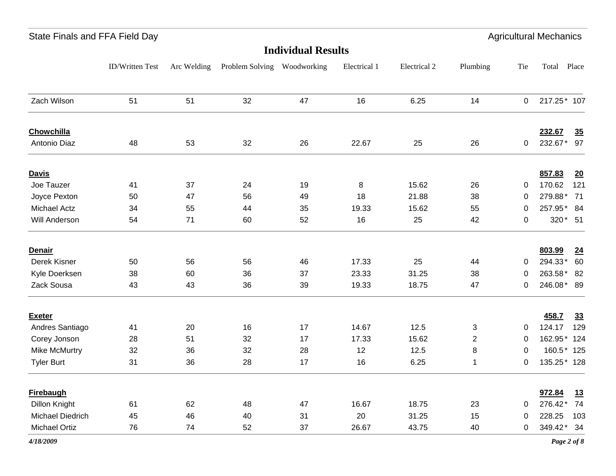| <b>Individual Results</b> |                 |             |                             |    |              |              |                |                |             |            |
|---------------------------|-----------------|-------------|-----------------------------|----|--------------|--------------|----------------|----------------|-------------|------------|
|                           | ID/Written Test | Arc Welding | Problem Solving Woodworking |    | Electrical 1 | Electrical 2 | Plumbing       | Tie            | Total       | Place      |
| Zach Wilson               | 51              | 51          | 32                          | 47 | 16           | 6.25         | 14             | $\overline{0}$ | 217.25* 107 |            |
| <b>Chowchilla</b>         |                 |             |                             |    |              |              |                |                | 232.67      | 35         |
| Antonio Diaz              | 48              | 53          | 32                          | 26 | 22.67        | 25           | 26             | 0              | 232.67* 97  |            |
| <b>Davis</b>              |                 |             |                             |    |              |              |                |                | 857.83      | 20         |
| Joe Tauzer                | 41              | 37          | 24                          | 19 | 8            | 15.62        | 26             | 0              | 170.62      | 121        |
| Joyce Pexton              | 50              | 47          | 56                          | 49 | 18           | 21.88        | 38             | 0              | 279.88*     | 71         |
| <b>Michael Actz</b>       | 34              | 55          | 44                          | 35 | 19.33        | 15.62        | 55             | 0              | 257.95* 84  |            |
| Will Anderson             | 54              | 71          | 60                          | 52 | 16           | 25           | 42             | $\mathbf 0$    |             | 320 * 51   |
| <b>Denair</b>             |                 |             |                             |    |              |              |                |                | 803.99      | 24         |
| Derek Kisner              | 50              | 56          | 56                          | 46 | 17.33        | 25           | 44             | $\mathbf 0$    | 294.33*     | 60         |
| Kyle Doerksen             | 38              | 60          | 36                          | 37 | 23.33        | 31.25        | 38             | 0              | 263.58* 82  |            |
| Zack Sousa                | 43              | 43          | 36                          | 39 | 19.33        | 18.75        | 47             | 0              | 246.08* 89  |            |
| <b>Exeter</b>             |                 |             |                             |    |              |              |                |                | 458.7       | 33         |
| Andres Santiago           | 41              | 20          | 16                          | 17 | 14.67        | 12.5         | 3              | 0              | 124.17      | 129        |
| Corey Jonson              | 28              | 51          | 32                          | 17 | 17.33        | 15.62        | $\overline{2}$ | 0              | 162.95* 124 |            |
| Mike McMurtry             | 32              | 36          | 32                          | 28 | 12           | 12.5         | 8              | 0              |             | 160.5* 125 |
| <b>Tyler Burt</b>         | 31              | 36          | 28                          | 17 | 16           | 6.25         | 1              | 0              | 135.25* 128 |            |
| <b>Firebaugh</b>          |                 |             |                             |    |              |              |                |                | 972.84      | 13         |
| Dillon Knight             | 61              | 62          | 48                          | 47 | 16.67        | 18.75        | 23             | $\mathbf 0$    | 276.42*     | 74         |
| Michael Diedrich          | 45              | 46          | 40                          | 31 | 20           | 31.25        | 15             | $\Omega$       | 228.25      | 103        |
| Michael Ortiz             | 76              | 74          | 52                          | 37 | 26.67        | 43.75        | 40             | $\mathbf 0$    | 349.42* 34  |            |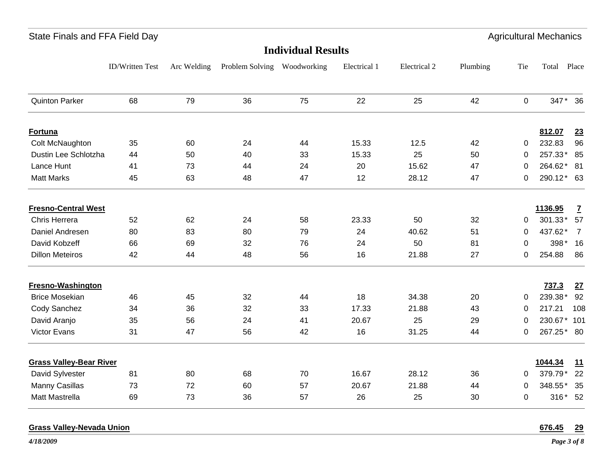| <b>Individual Results</b>      |                 |             |                             |    |              |              |          |             |             |                |
|--------------------------------|-----------------|-------------|-----------------------------|----|--------------|--------------|----------|-------------|-------------|----------------|
|                                | ID/Written Test | Arc Welding | Problem Solving Woodworking |    | Electrical 1 | Electrical 2 | Plumbing | Tie         | Total Place |                |
| <b>Quinton Parker</b>          | 68              | 79          | 36                          | 75 | 22           | 25           | 42       | 0           | 347*        | 36             |
| Fortuna                        |                 |             |                             |    |              |              |          |             | 812.07      | 23             |
| Colt McNaughton                | 35              | 60          | 24                          | 44 | 15.33        | 12.5         | 42       | 0           | 232.83      | 96             |
| Dustin Lee Schlotzha           | 44              | 50          | 40                          | 33 | 15.33        | 25           | 50       | 0           | 257.33*     | 85             |
| Lance Hunt                     | 41              | 73          | 44                          | 24 | 20           | 15.62        | 47       | $\Omega$    | 264.62*     | 81             |
| <b>Matt Marks</b>              | 45              | 63          | 48                          | 47 | 12           | 28.12        | 47       | 0           | 290.12* 63  |                |
| <b>Fresno-Central West</b>     |                 |             |                             |    |              |              |          |             | 1136.95     | $\mathbf{Z}$   |
| Chris Herrera                  | 52              | 62          | 24                          | 58 | 23.33        | 50           | 32       | 0           | 301.33*     | 57             |
| Daniel Andresen                | 80              | 83          | 80                          | 79 | 24           | 40.62        | 51       | $\Omega$    | 437.62*     | $\overline{7}$ |
| David Kobzeff                  | 66              | 69          | 32                          | 76 | 24           | 50           | 81       | $\Omega$    | 398*        | 16             |
| <b>Dillon Meteiros</b>         | 42              | 44          | 48                          | 56 | 16           | 21.88        | 27       | $\Omega$    | 254.88      | 86             |
| <b>Fresno-Washington</b>       |                 |             |                             |    |              |              |          |             | 737.3       | 27             |
| <b>Brice Mosekian</b>          | 46              | 45          | 32                          | 44 | 18           | 34.38        | 20       | 0           | 239.38*     | 92             |
| Cody Sanchez                   | 34              | 36          | 32                          | 33 | 17.33        | 21.88        | 43       | $\Omega$    | 217.21      | 108            |
| David Aranjo                   | 35              | 56          | 24                          | 41 | 20.67        | 25           | 29       | 0           | 230.67* 101 |                |
| Victor Evans                   | 31              | 47          | 56                          | 42 | 16           | 31.25        | 44       | 0           | 267.25* 80  |                |
| <b>Grass Valley-Bear River</b> |                 |             |                             |    |              |              |          |             | 1044.34     | <u>11</u>      |
| David Sylvester                | 81              | 80          | 68                          | 70 | 16.67        | 28.12        | 36       | 0           | 379.79*     | 22             |
| Manny Casillas                 | 73              | 72          | 60                          | 57 | 20.67        | 21.88        | 44       | 0           | 348.55*     | 35             |
| Matt Mastrella                 | 69              | 73          | 36                          | 57 | 26           | 25           | 30       | $\mathbf 0$ |             | 316* 52        |

#### **Grass Valley-Nevada Union 676.45 29**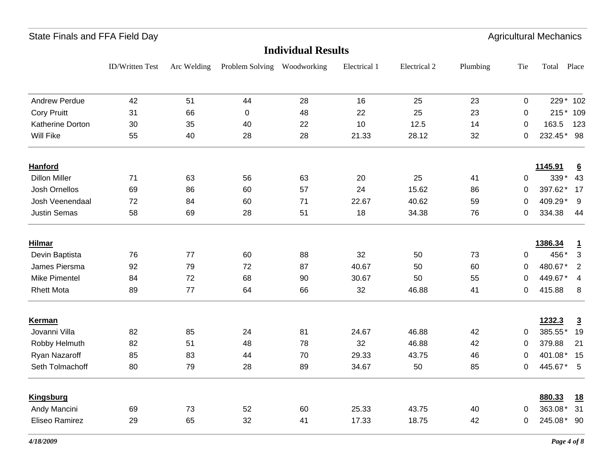ID/Written Test Arc Welding Problem Solving Woodworking Electrical 1 Electrical 2 Plumbing Tie Total Place **Individual Results**State Finals and FFA Field Day **Agricultural Mechanics** State Finals and FFA Field Day Andrew Perdue 42 51 44 28 16 25 23 0 229\* 102 23 0 229 \* 102 Cory Pruitt 31 66 0 48 22 25 23 0 215\* 109 Katherine Dorton 30 35 40 22 10 12.5 14 0 163.5 123 Will Fike 55 40 28 28 21.33 28.12 32 0 232.45 \* 98 32 0  $232.45*98$ **Hanford 1145.91 6** Dillon Miller 71 63 56 63 20 25 339 4341 0 339\* 43 Josh Ornellos 69 86 60 57 24 15.62 86 0 397.62\* 17 86 0 397.62  $*$  17 Josh Veenendaal 22 72 84 60 71 22.67 40.62 59 0 409.29<sup>\*</sup> 9 409.29\* Justin Semas 58 69 28 51 18 34.38 334.38 4476 0 334.38 44 **Hilmar 1386.34 1** Devin Baptista 76 77 60 88 32 50 73 0 456\* 3 James Piersma 92 79 72 87 40.67 50 60 0 480.67\* 2 60 0 480.67  $*$  2 Mike Pimentel 84 72 68 90 30.67 50 55 0 449.67\* 4 55 0 449.67  $*$  4 Rhett Mota 89 77 64 66 32 46.88 41 0 415.88 8 41 0 415.88 8 **Kerman 1232.3 3** Jovanni Villa 82 85 24 81 24.67 46.88 385.55 1942 0  $385.55*19$ Robby Helmuth 82 51 48 78 32 46.88 42 0 379.88 21 Ryan Nazaroff 85 83 44 70 29.33 43.75 46 0 401.08\* 15 Seth Tolmachoff 80 79 28 89 34.67 50 85 0 445.67 <sup>\*</sup> 5 445.67\* **Kingsburg 880.33 18** Andy Mancini 69 73 52 60 25.33 43.75 40 0 363.08\* 31 Eliseo Ramirez 29 65 32 41 17.33 18.75 42 0 245.08 \* 90 42 0  $245.08*$  90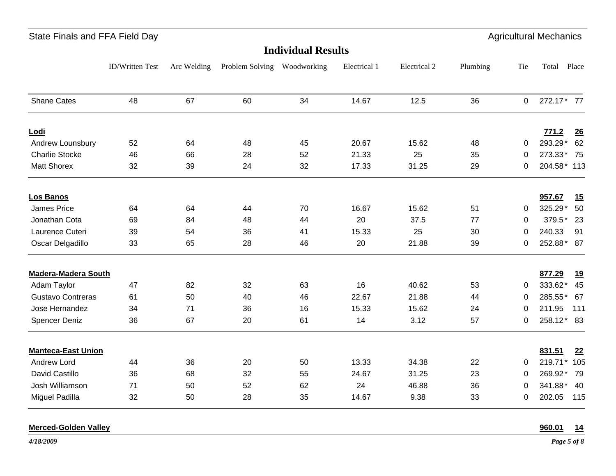ID/Written Test Arc Welding Problem Solving Woodworking Electrical 1 Electrical 2 Plumbing Tie Total Place **Individual Results**State Finals and FFA Field Day **Agricultural Mechanics** State Finals and FFA Field Day Shane Cates 48 67 60 34 14.67 12.5 36 0 272.17 \* 77 36 0  $272.17 \times 77$ **Lodi 771.2 26** Andrew Lounsbury 52 64 48 45 20.67 15.62 48 0 293.29 \* 62 Charlie Stocke 46 66 28 52 21.33 25 35 0 273.33\* 75 35 0  $273.33*75$ Matt Shorex 32 39 24 32 17.33 31.25 29 0 204.58\* 113 29 0  $204.58*113$ **Los Banos 957.67 15** James Price 64 64 44 70 16.67 15.62 51 0 325.29\* 50 51 0  $325.29$  50 Jonathan Cota 69 84 48 44 20 37.5 379.5 2377 0 379.5\* 23 Laurence Cuteri 39 54 36 41 15.33 25 30 0 240.33 91 30 0 Oscar Delgadillo 33 65 28 46 20 21.88 39 0 252.88 \* 87 **Madera-Madera South 877.29 19** Adam Taylor 47 82 32 63 16 40.62 53 0 333.62 \* 45 Gustavo Contreras 61 50 40 46 22.67 21.88 44 0 285.55<sup>\*</sup> 67 285.55\* Jose Hernandez 34 71 36 16 15.33 15.62 211.95 111211.95 Spencer Deniz 36 67 20 61 14 3.12 57 0 258.12 \* 83 **Manteca-East Union 831.51 22** Andrew Lord 44 36 20 50 13.33 34.38 22 0 219.71\* 105 22 0 219.71\* 105 David Castillo 36 68 32 55 24.67 31.25 23 0 269.92 \* 79 23 0  $269.92*79$ Josh Williamson 71 50 52 62 24 46.88 341.88 40341.88 \* 40 Miguel Padilla 32 50 28 35 14.67 9.38 33 0 202.05 115

**Merced-Golden Valley 960.01 14**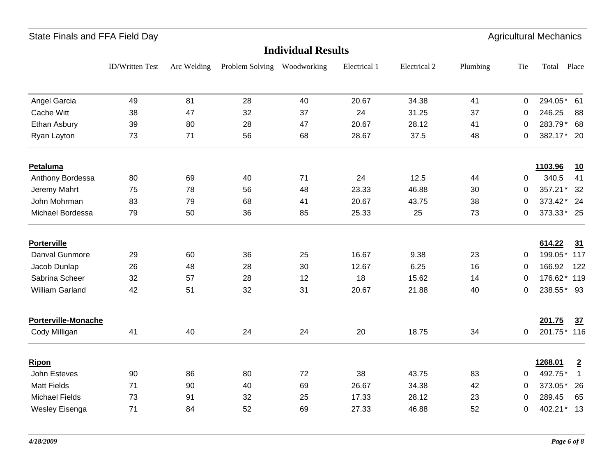|                 |             |    |    |                             |                           |          |             | <b>Agricultural Mechanics</b> |                |
|-----------------|-------------|----|----|-----------------------------|---------------------------|----------|-------------|-------------------------------|----------------|
|                 |             |    |    |                             |                           |          |             |                               |                |
| ID/Written Test | Arc Welding |    |    | Electrical 1                | Electrical 2              | Plumbing | Tie         | Total                         | Place          |
| 49              | 81          | 28 | 40 | 20.67                       | 34.38                     | 41       | $\Omega$    | 294.05*                       | 61             |
| 38              | 47          | 32 | 37 | 24                          | 31.25                     | 37       | 0           | 246.25                        | 88             |
| 39              | 80          | 28 | 47 | 20.67                       | 28.12                     | 41       | 0           | 283.79* 68                    |                |
| 73              | 71          | 56 | 68 | 28.67                       | 37.5                      | 48       | 0           | 382.17* 20                    |                |
|                 |             |    |    |                             |                           |          |             | 1103.96                       | 10             |
| 80              | 69          | 40 | 71 | 24                          | 12.5                      | 44       | 0           | 340.5                         | 41             |
| 75              | 78          | 56 | 48 | 23.33                       | 46.88                     | 30       | 0           | 357.21*                       | 32             |
| 83              | 79          | 68 | 41 | 20.67                       | 43.75                     | 38       | 0           | 373.42* 24                    |                |
| 79              | 50          | 36 | 85 | 25.33                       | 25                        | 73       | 0           | 373.33* 25                    |                |
|                 |             |    |    |                             |                           |          |             | 614.22                        | 31             |
| 29              | 60          | 36 | 25 | 16.67                       | 9.38                      | 23       | 0           | 199.05* 117                   |                |
| 26              | 48          | 28 | 30 | 12.67                       | 6.25                      | 16       | $\mathbf 0$ | 166.92                        | 122            |
| 32              | 57          | 28 | 12 | 18                          | 15.62                     | 14       | 0           | 176.62* 119                   |                |
| 42              | 51          | 32 | 31 | 20.67                       | 21.88                     | 40       | 0           | 238.55* 93                    |                |
|                 |             |    |    |                             |                           |          |             | 201.75                        | 37             |
| 41              | 40          | 24 | 24 | 20                          | 18.75                     | 34       | 0           | 201.75* 116                   |                |
|                 |             |    |    |                             |                           |          |             | 1268.01                       | $\overline{2}$ |
| 90              | 86          | 80 | 72 | 38                          | 43.75                     | 83       | 0           | 492.75*                       | $\mathbf{1}$   |
| 71              | 90          | 40 | 69 | 26.67                       | 34.38                     | 42       | $\mathbf 0$ | 373.05*                       | 26             |
| 73              | 91          | 32 | 25 | 17.33                       | 28.12                     | 23       | 0           | 289.45                        | 65             |
| 71              | 84          | 52 | 69 | 27.33                       | 46.88                     | 52       | 0           | 402.21* 13                    |                |
|                 |             |    |    | Problem Solving Woodworking | <b>Individual Results</b> |          |             |                               |                |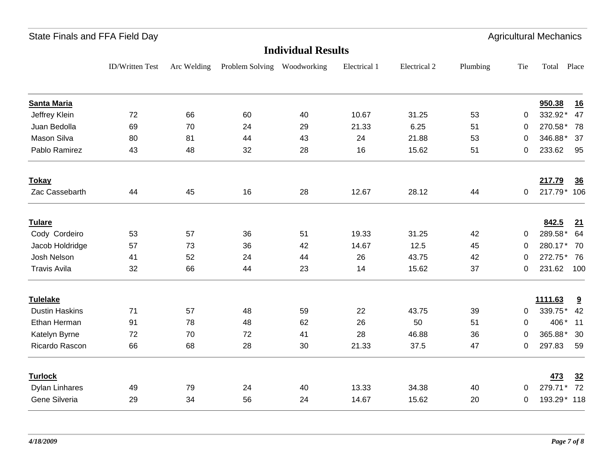ID/Written Test Arc Welding Problem Solving Woodworking Electrical 1 Electrical 2 Plumbing Tie Total Place **Individual Results**State Finals and FFA Field Day **Agricultural Mechanics** State Finals and FFA Field Day **Santa Maria 950.38 16** Jeffrey Klein 72 66 60 40 10.67 31.25 53 0 332.92\* 47 Juan Bedolla 69 70 24 29 21.33 6.25 270.58 7851 0  $270.58*$  78 Mason Silva 80 81 44 43 24 21.88 346.88 3753 0  $346.88*$  37 Pablo Ramirez 43 48 32 28 16 15.62 51 0 233.62 95 51 0 **Tokay 217.79 36** Zac Cassebarth 44 45 16 28 12.67 28.12 44 0 217.79\* 106 44 0 217.79\* 106 **Tulare 842.5 21** Cody Cordeiro 53 57 36 51 19.33 31.25 42 0 289.58 \* 64 Jacob Holdridge 57 73 36 42 14.67 12.5 45 0 280.17 \* 70 Josh Nelson 41 52 24 44 26 43.75 272.75 7642 0  $272.75*76$ Travis Avila 32 66 44 23 14 15.62 231.62 10037 0 231.62 100 **Tulelake 1111.63 9** Dustin Haskins 71 57 48 59 22 43.75 339.75 4239 0  $339.75*$  42 Ethan Herman 91 78 48 62 26 50 406 1151 0 406\* 11 Katelyn Byrne 72 70 72 41 28 46.88 36 0 365.88 \* 30 Ricardo Rascon 66 68 28 30 21.33 37.5 47 0 297.83 59 47 0 297.83 59 **Turlock 473 32** Dylan Linhares 49 79 24 40 13.33 34.38 40 0 279.71\* 72 Gene Silveria 29 34 56 24 14.67 15.62 20 0 193.29\* 118 20 0  $193.29*118$